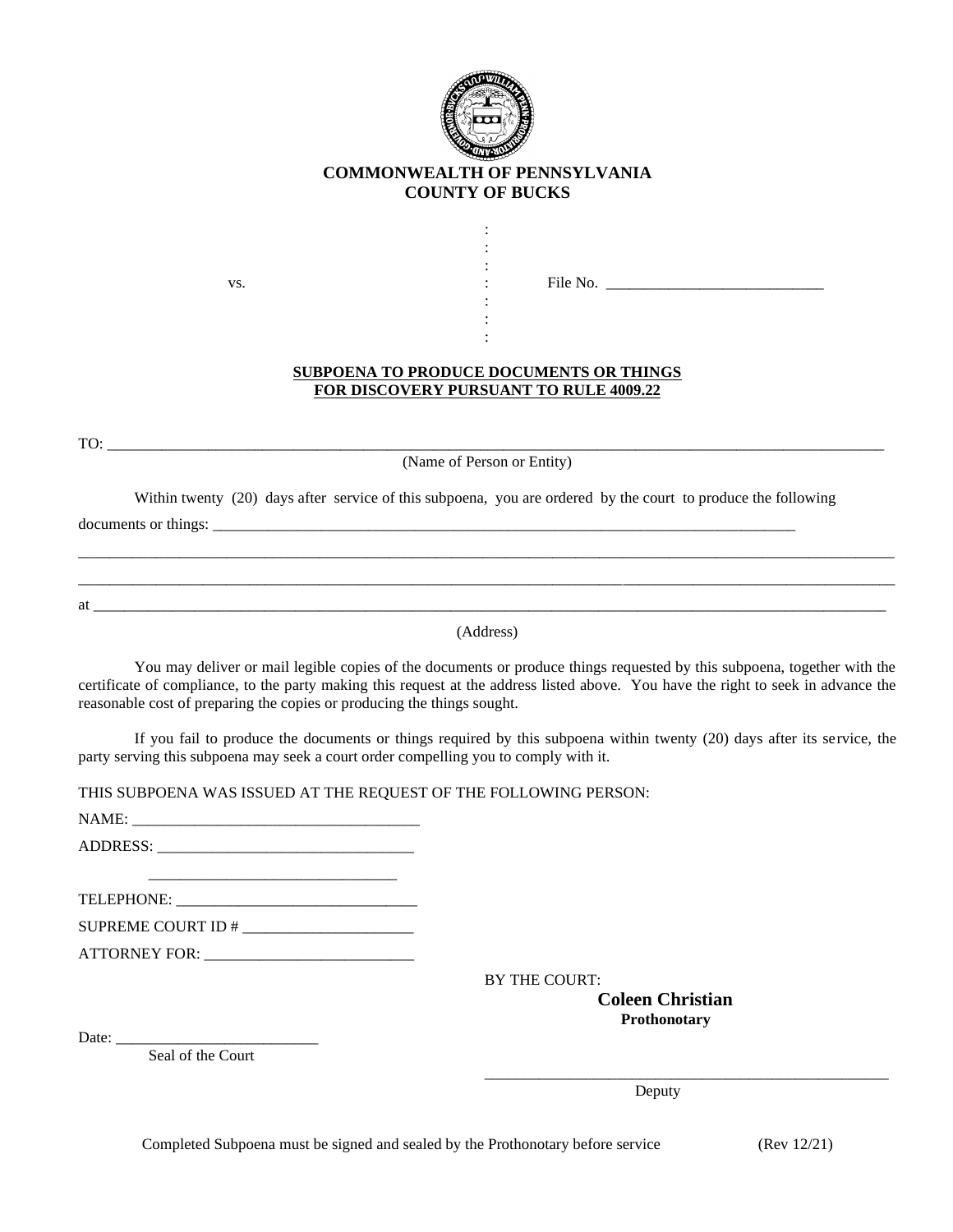

## **COMMONWEALTH OF PENNSYLVANIA COUNTY OF BUCKS**

: : :

> : : :

vs. File No.

## **SUBPOENA TO PRODUCE DOCUMENTS OR THINGS FOR DISCOVERY PURSUANT TO RULE 4009.22**

 $TO:$ 

(Name of Person or Entity)

Within twenty (20) days after service of this subpoena, you are ordered by the court to produce the following

documents or things: \_\_\_\_\_\_\_\_\_\_\_\_\_\_\_\_\_\_\_\_\_\_\_\_\_\_\_\_\_\_\_\_\_\_\_\_\_\_\_\_\_\_\_\_\_\_\_\_\_\_\_\_\_\_\_\_\_\_\_\_\_\_\_\_\_\_\_\_\_\_\_\_\_\_\_\_\_\_\_\_\_\_\_\_\_\_\_\_\_\_\_\_\_\_\_\_\_\_\_\_\_\_\_\_\_ \_\_\_\_\_\_\_\_\_\_\_\_\_\_\_\_\_\_\_\_\_\_\_\_\_\_\_\_\_\_\_\_\_\_\_\_\_\_\_\_\_\_\_\_\_\_\_\_\_\_\_\_\_\_\_\_\_\_\_\_\_\_\_\_\_\_\_\_\_\_\_\_\_\_\_\_\_\_\_\_\_\_\_\_\_\_\_\_\_\_\_\_\_\_\_\_\_\_\_\_\_\_\_\_\_ at  $\overline{a}$ 

(Address)

You may deliver or mail legible copies of the documents or produce things requested by this subpoena, together with the certificate of compliance, to the party making this request at the address listed above. You have the right to seek in advance the reasonable cost of preparing the copies or producing the things sought.

If you fail to produce the documents or things required by this subpoena within twenty (20) days after its service, the party serving this subpoena may seek a court order compelling you to comply with it.

THIS SUBPOENA WAS ISSUED AT THE REQUEST OF THE FOLLOWING PERSON:

NAME: \_\_\_\_\_\_\_\_\_\_\_\_\_\_\_\_\_\_\_\_\_\_\_\_\_\_\_\_\_\_\_\_\_\_\_\_\_

ADDRESS: \_\_\_\_\_\_\_\_\_\_\_\_\_\_\_\_\_\_\_\_\_\_\_\_\_\_\_\_\_\_\_\_\_ \_\_\_\_\_\_\_\_\_\_\_\_\_\_\_\_\_\_\_\_\_\_\_\_\_\_\_\_\_\_\_\_

TELEPHONE: \_\_\_\_\_\_\_\_\_\_\_\_\_\_\_\_\_\_\_\_\_\_\_\_\_\_\_\_\_\_\_

SUPREME COURT ID # \_\_\_\_\_\_\_\_\_\_\_\_\_\_\_\_\_\_\_\_\_\_

ATTORNEY FOR: \_\_\_\_\_\_\_\_\_\_\_\_\_\_\_\_\_\_\_\_\_\_\_\_\_\_\_

BY THE COURT: **Coleen Christian Prothonotary**

Date:  $\frac{ }{ }$ 

Seal of the Court

Deputy Deputy

\_\_\_\_\_\_\_\_\_\_\_\_\_\_\_\_\_\_\_\_\_\_\_\_\_\_\_\_\_\_\_\_\_\_\_\_\_\_\_\_\_\_\_\_\_\_\_\_\_\_\_\_